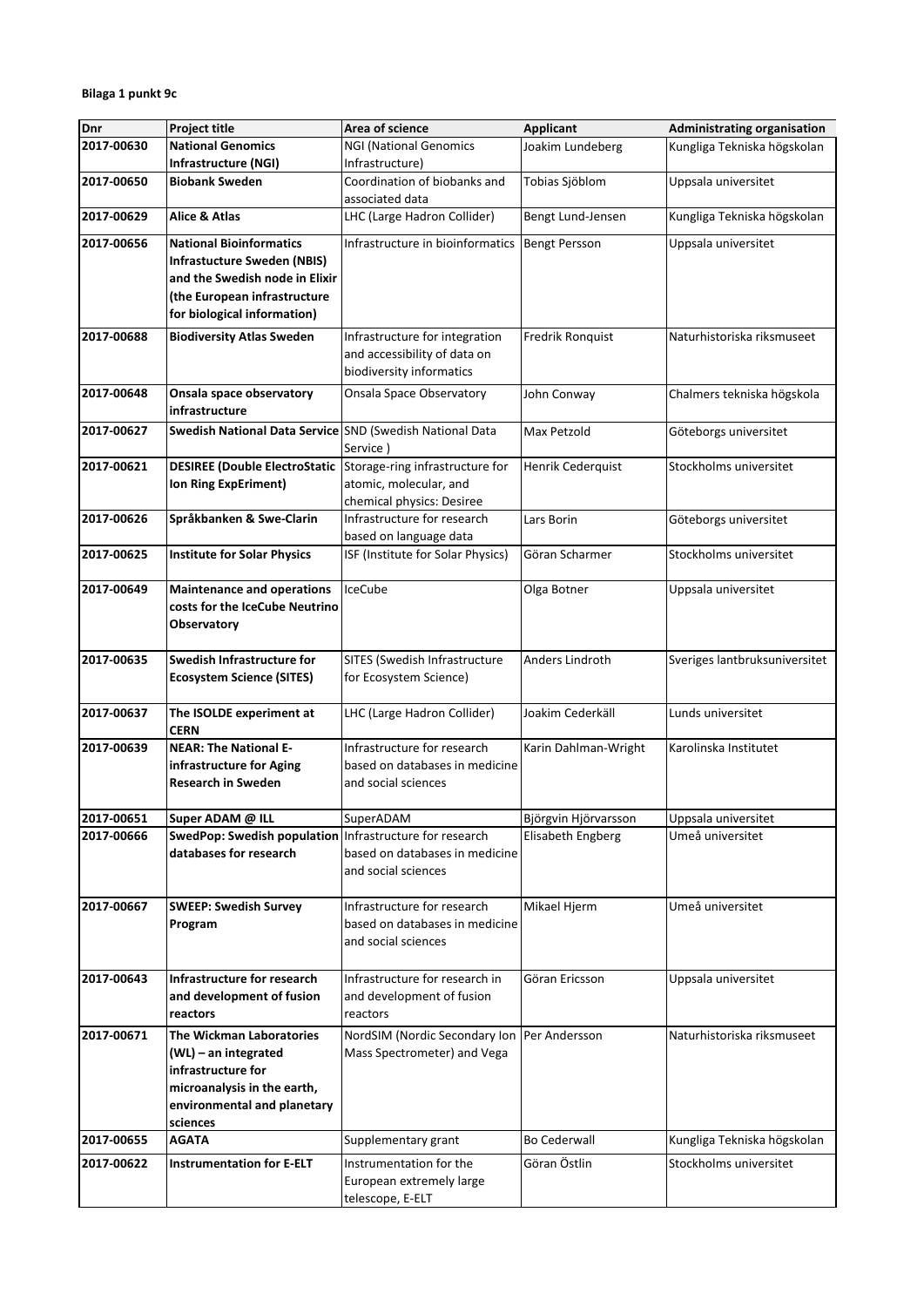| Dnr        | <b>Project title</b>                                     | Area of science                                 | <b>Applicant</b>        | <b>Administrating organisation</b> |
|------------|----------------------------------------------------------|-------------------------------------------------|-------------------------|------------------------------------|
| 2017-00630 | <b>National Genomics</b>                                 | <b>NGI (National Genomics</b>                   | Joakim Lundeberg        | Kungliga Tekniska högskolan        |
|            | Infrastructure (NGI)                                     | Infrastructure)                                 |                         |                                    |
| 2017-00650 | <b>Biobank Sweden</b>                                    | Coordination of biobanks and<br>associated data | Tobias Sjöblom          | Uppsala universitet                |
| 2017-00629 | Alice & Atlas                                            | LHC (Large Hadron Collider)                     | Bengt Lund-Jensen       | Kungliga Tekniska högskolan        |
| 2017-00656 | <b>National Bioinformatics</b>                           | Infrastructure in bioinformatics                | <b>Bengt Persson</b>    | Uppsala universitet                |
|            | <b>Infrastucture Sweden (NBIS)</b>                       |                                                 |                         |                                    |
|            | and the Swedish node in Elixir                           |                                                 |                         |                                    |
|            | (the European infrastructure                             |                                                 |                         |                                    |
|            | for biological information)                              |                                                 |                         |                                    |
| 2017-00688 | <b>Biodiversity Atlas Sweden</b>                         | Infrastructure for integration                  | <b>Fredrik Ronquist</b> | Naturhistoriska riksmuseet         |
|            |                                                          | and accessibility of data on                    |                         |                                    |
|            |                                                          | biodiversity informatics                        |                         |                                    |
| 2017-00648 | Onsala space observatory<br>infrastructure               | Onsala Space Observatory                        | John Conway             | Chalmers tekniska högskola         |
| 2017-00627 | Swedish National Data Service SND (Swedish National Data |                                                 |                         |                                    |
|            |                                                          | Service)                                        | Max Petzold             | Göteborgs universitet              |
| 2017-00621 | <b>DESIREE (Double ElectroStatic</b>                     | Storage-ring infrastructure for                 | Henrik Cederquist       | Stockholms universitet             |
|            | Ion Ring ExpEriment)                                     | atomic, molecular, and                          |                         |                                    |
|            |                                                          | chemical physics: Desiree                       |                         |                                    |
| 2017-00626 | Språkbanken & Swe-Clarin                                 | Infrastructure for research                     | Lars Borin              | Göteborgs universitet              |
|            |                                                          | based on language data                          |                         |                                    |
| 2017-00625 | <b>Institute for Solar Physics</b>                       | ISF (Institute for Solar Physics)               | Göran Scharmer          | Stockholms universitet             |
| 2017-00649 | <b>Maintenance and operations</b>                        | IceCube                                         | Olga Botner             | Uppsala universitet                |
|            | costs for the IceCube Neutrino                           |                                                 |                         |                                    |
|            | Observatory                                              |                                                 |                         |                                    |
|            |                                                          |                                                 |                         |                                    |
| 2017-00635 | Swedish Infrastructure for                               | SITES (Swedish Infrastructure                   | Anders Lindroth         | Sveriges lantbruksuniversitet      |
|            | <b>Ecosystem Science (SITES)</b>                         | for Ecosystem Science)                          |                         |                                    |
| 2017-00637 | The ISOLDE experiment at                                 | LHC (Large Hadron Collider)                     | Joakim Cederkäll        | Lunds universitet                  |
|            | <b>CERN</b>                                              |                                                 |                         |                                    |
| 2017-00639 | <b>NEAR: The National E-</b>                             | Infrastructure for research                     | Karin Dahlman-Wright    | Karolinska Institutet              |
|            | infrastructure for Aging                                 | based on databases in medicine                  |                         |                                    |
|            | <b>Research in Sweden</b>                                | and social sciences                             |                         |                                    |
| 2017-00651 | Super ADAM @ ILL                                         | SuperADAM                                       | Björgvin Hjörvarsson    | Uppsala universitet                |
| 2017-00666 | SwedPop: Swedish population Infrastructure for research  |                                                 | Elisabeth Engberg       | Umeå universitet                   |
|            | databases for research                                   | based on databases in medicine                  |                         |                                    |
|            |                                                          | and social sciences                             |                         |                                    |
|            |                                                          |                                                 |                         |                                    |
| 2017-00667 | <b>SWEEP: Swedish Survey</b>                             | Infrastructure for research                     | Mikael Hjerm            | Umeå universitet                   |
|            | Program                                                  | based on databases in medicine                  |                         |                                    |
|            |                                                          | and social sciences                             |                         |                                    |
|            |                                                          |                                                 |                         |                                    |
| 2017-00643 | Infrastructure for research                              | Infrastructure for research in                  | Göran Ericsson          | Uppsala universitet                |
|            | and development of fusion                                | and development of fusion                       |                         |                                    |
|            | reactors                                                 | reactors                                        |                         |                                    |
| 2017-00671 | <b>The Wickman Laboratories</b>                          | NordSIM (Nordic Secondary Ion                   | Per Andersson           | Naturhistoriska riksmuseet         |
|            | $(WL)$ – an integrated                                   | Mass Spectrometer) and Vega                     |                         |                                    |
|            | infrastructure for                                       |                                                 |                         |                                    |
|            | microanalysis in the earth,                              |                                                 |                         |                                    |
|            | environmental and planetary                              |                                                 |                         |                                    |
|            | sciences                                                 |                                                 |                         |                                    |
| 2017-00655 | <b>AGATA</b>                                             | Supplementary grant                             | <b>Bo Cederwall</b>     | Kungliga Tekniska högskolan        |
| 2017-00622 | <b>Instrumentation for E-ELT</b>                         | Instrumentation for the                         | Göran Östlin            | Stockholms universitet             |
|            |                                                          | European extremely large                        |                         |                                    |
|            |                                                          | telescope, E-ELT                                |                         |                                    |